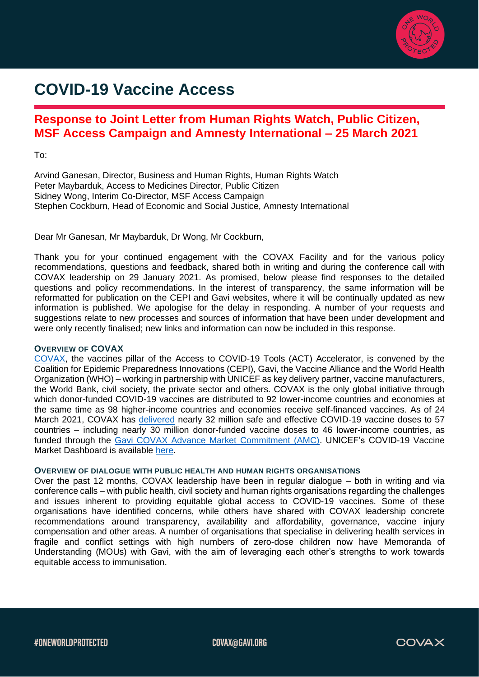

# **COVID-19 Vaccine Access**

# **Response to Joint Letter from Human Rights Watch, Public Citizen, MSF Access Campaign and Amnesty International – 25 March 2021**

To:

Arvind Ganesan, Director, Business and Human Rights, Human Rights Watch Peter Maybarduk, Access to Medicines Director, Public Citizen Sidney Wong, Interim Co-Director, MSF Access Campaign Stephen Cockburn, Head of Economic and Social Justice, Amnesty International

Dear Mr Ganesan, Mr Maybarduk, Dr Wong, Mr Cockburn,

Thank you for your continued engagement with the COVAX Facility and for the various policy recommendations, questions and feedback, shared both in writing and during the conference call with COVAX leadership on 29 January 2021. As promised, below please find responses to the detailed questions and policy recommendations. In the interest of transparency, the same information will be reformatted for publication on the CEPI and Gavi websites, where it will be continually updated as new information is published. We apologise for the delay in responding. A number of your requests and suggestions relate to new processes and sources of information that have been under development and were only recently finalised; new links and information can now be included in this response.

# **OVERVIEW OF COVAX**

[COVAX,](https://www.gavi.org/covax-facility) the vaccines pillar of the Access to COVID-19 Tools (ACT) Accelerator, is convened by the Coalition for Epidemic Preparedness Innovations (CEPI), Gavi, the Vaccine Alliance and the World Health Organization (WHO) – working in partnership with UNICEF as key delivery partner, vaccine manufacturers, the World Bank, civil society, the private sector and others. COVAX is the only global initiative through which donor-funded COVID-19 vaccines are distributed to 92 lower-income countries and economies at the same time as 98 higher-income countries and economies receive self-financed vaccines. As of 24 March 2021, COVAX has [delivered](https://www.gavi.org/live/covax-vaccine-roll-out) nearly 32 million safe and effective COVID-19 vaccine doses to 57 countries – including nearly 30 million donor-funded vaccine doses to 46 lower-income countries, as funded through the [Gavi COVAX Advance Market Commitment \(AMC\).](https://www.gavi.org/gavi-covax-amc) UNICEF's COVID-19 Vaccine Market Dashboard is available [here.](https://www.unicef.org/supply/covid-19-vaccine-market-dashboard)

#### **OVERVIEW OF DIALOGUE WITH PUBLIC HEALTH AND HUMAN RIGHTS ORGANISATIONS**

Over the past 12 months, COVAX leadership have been in regular dialogue – both in writing and via conference calls – with public health, civil society and human rights organisations regarding the challenges and issues inherent to providing equitable global access to COVID-19 vaccines. Some of these organisations have identified concerns, while others have shared with COVAX leadership concrete recommendations around transparency, availability and affordability, governance, vaccine injury compensation and other areas. A number of organisations that specialise in delivering health services in fragile and conflict settings with high numbers of zero-dose children now have Memoranda of Understanding (MOUs) with Gavi, with the aim of leveraging each other's strengths to work towards equitable access to immunisation.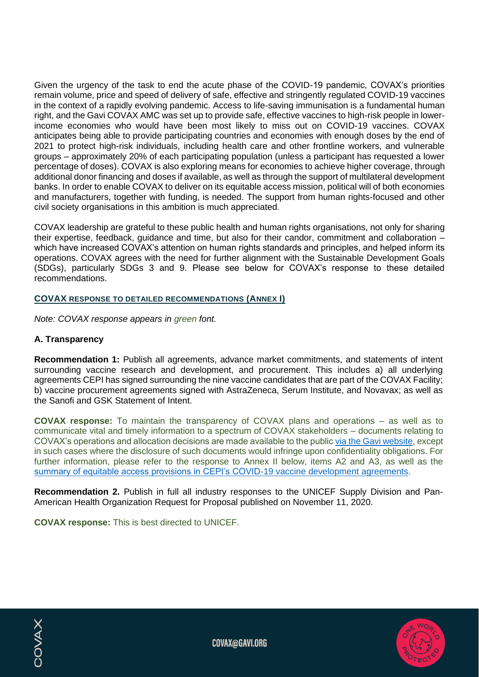Given the urgency of the task to end the acute phase of the COVID-19 pandemic, COVAX's priorities remain volume, price and speed of delivery of safe, effective and stringently regulated COVID-19 vaccines in the context of a rapidly evolving pandemic. Access to life-saving immunisation is a fundamental human right, and the Gavi COVAX AMC was set up to provide safe, effective vaccines to high-risk people in lowerincome economies who would have been most likely to miss out on COVID-19 vaccines. COVAX anticipates being able to provide participating countries and economies with enough doses by the end of 2021 to protect high-risk individuals, including health care and other frontline workers, and vulnerable groups – approximately 20% of each participating population (unless a participant has requested a lower percentage of doses). COVAX is also exploring means for economies to achieve higher coverage, through additional donor financing and doses if available, as well as through the support of multilateral development banks. In order to enable COVAX to deliver on its equitable access mission, political will of both economies and manufacturers, together with funding, is needed. The support from human rights-focused and other civil society organisations in this ambition is much appreciated.

COVAX leadership are grateful to these public health and human rights organisations, not only for sharing their expertise, feedback, guidance and time, but also for their candor, commitment and collaboration – which have increased COVAX's attention on human rights standards and principles, and helped inform its operations. COVAX agrees with the need for further alignment with the Sustainable Development Goals (SDGs), particularly SDGs 3 and 9. Please see below for COVAX's response to these detailed recommendations.

# **COVAX RESPONSE TO DETAILED RECOMMENDATIONS (ANNEX I)**

*Note: COVAX response appears in green font.*

# **A. Transparency**

**COVAX** 

**Recommendation 1:** Publish all agreements, advance market commitments, and statements of intent surrounding vaccine research and development, and procurement. This includes a) all underlying agreements CEPI has signed surrounding the nine vaccine candidates that are part of the COVAX Facility; b) vaccine procurement agreements signed with AstraZeneca, Serum Institute, and Novavax; as well as the Sanofi and GSK Statement of Intent.

**COVAX response:** To maintain the transparency of COVAX plans and operations – as well as to communicate vital and timely information to a spectrum of COVAX stakeholders – documents relating to COVAX's operations and allocation decisions are made available to the publi[c via the Gavi website,](https://www.gavi.org/covax-facility#documents) except in such cases where the disclosure of such documents would infringe upon confidentiality obligations. For further information, please refer to the response to Annex II below, items A2 and A3, as well as the [summary of equitable access provisions in CEPI's COVID-19 vaccine development agreements.](https://cepi.net/wp-content/uploads/2020/12/Enabling-equitable-access-to-COVID19-vaccines-v3-22Feb-2021.pdf)

**Recommendation 2.** Publish in full all industry responses to the UNICEF Supply Division and Pan-American Health Organization Request for Proposal published on November 11, 2020.

**COVAX response:** This is best directed to UNICEF.

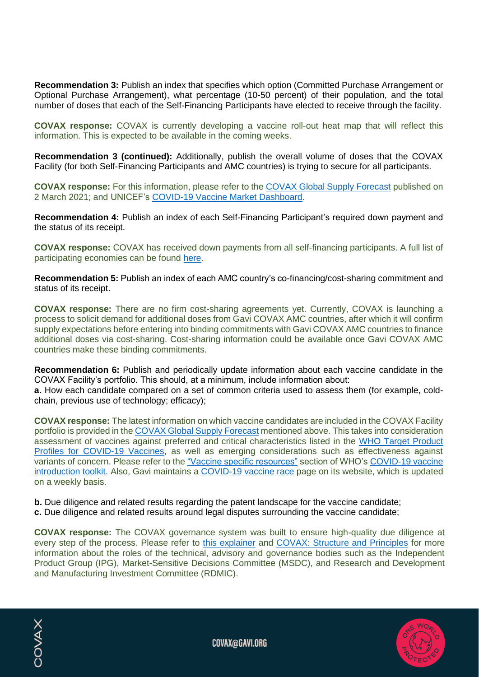**Recommendation 3:** Publish an index that specifies which option (Committed Purchase Arrangement or Optional Purchase Arrangement), what percentage (10-50 percent) of their population, and the total number of doses that each of the Self-Financing Participants have elected to receive through the facility.

**COVAX response:** COVAX is currently developing a vaccine roll-out heat map that will reflect this information. This is expected to be available in the coming weeks.

**Recommendation 3 (continued):** Additionally, publish the overall volume of doses that the COVAX Facility (for both Self-Financing Participants and AMC countries) is trying to secure for all participants.

**COVAX response:** For this information, please refer to the [COVAX Global Supply Forecast](https://www.gavi.org/sites/default/files/covid/covax/COVAX%20Supply%20Forecast.pdf) published on 2 March 2021; and UNICEF's [COVID-19 Vaccine Market Dashboard.](https://www.unicef.org/supply/covid-19-vaccine-market-dashboard)

**Recommendation 4:** Publish an index of each Self-Financing Participant's required down payment and the status of its receipt.

**COVAX response:** COVAX has received down payments from all self-financing participants. A full list of participating economies can be found [here.](https://www.gavi.org/sites/default/files/covid/pr/COVAX_CA_COIP_List_COVAX_PR_15-12.pdf)

**Recommendation 5:** Publish an index of each AMC country's co-financing/cost-sharing commitment and status of its receipt.

**COVAX response:** There are no firm cost-sharing agreements yet. Currently, COVAX is launching a process to solicit demand for additional doses from Gavi COVAX AMC countries, after which it will confirm supply expectations before entering into binding commitments with Gavi COVAX AMC countries to finance additional doses via cost-sharing. Cost-sharing information could be available once Gavi COVAX AMC countries make these binding commitments.

**Recommendation 6:** Publish and periodically update information about each vaccine candidate in the COVAX Facility's portfolio. This should, at a minimum, include information about: **a.** How each candidate compared on a set of common criteria used to assess them (for example, coldchain, previous use of technology; efficacy);

**COVAX response:** The latest information on which vaccine candidates are included in the COVAX Facility portfolio is provided in th[e COVAX Global Supply Forecast](https://www.gavi.org/sites/default/files/covid/covax/COVAX%20Supply%20Forecast.pdf) mentioned above. This takes into consideration assessment of vaccines against preferred and critical characteristics listed in the [WHO Target](https://www.who.int/docs/default-source/blue-print/who-target-product-profiles-for-covid-19-vaccines.pdf) Product [Profiles for COVID-19 Vaccines,](https://www.who.int/docs/default-source/blue-print/who-target-product-profiles-for-covid-19-vaccines.pdf) as well as emerging considerations such as effectiveness against variants of concern. Please refer to the ["Vaccine specific resources"](https://www.who.int/tools/covid-19-vaccine-introduction-toolkit#Vaccine%20specific%20resources) section of WHO's [COVID-19 vaccine](https://www.who.int/tools/covid-19-vaccine-introduction-toolkit)  [introduction toolkit.](https://www.who.int/tools/covid-19-vaccine-introduction-toolkit) Also, Gavi maintains a [COVID-19 vaccine race](https://www.gavi.org/vaccineswork/covid-19-vaccine-race) page on its website, which is updated on a weekly basis.

**b.** Due diligence and related results regarding the patent landscape for the vaccine candidate;

**c.** Due diligence and related results around legal disputes surrounding the vaccine candidate;

**COVAX response:** The COVAX governance system was built to ensure high-quality due diligence at every step of the process. Please refer to [this explainer](https://www.gavi.org/vaccineswork/covax-facility-governance-explained) and [COVAX: Structure and Principles](https://www.gavi.org/sites/default/files/covid/covax/COVAX_the-Vaccines-Pillar-of-the-Access-to-COVID-19-Tools-ACT-Accelerator.pdf) for more information about the roles of the technical, advisory and governance bodies such as the Independent Product Group (IPG), Market-Sensitive Decisions Committee (MSDC), and Research and Development and Manufacturing Investment Committee (RDMIC).

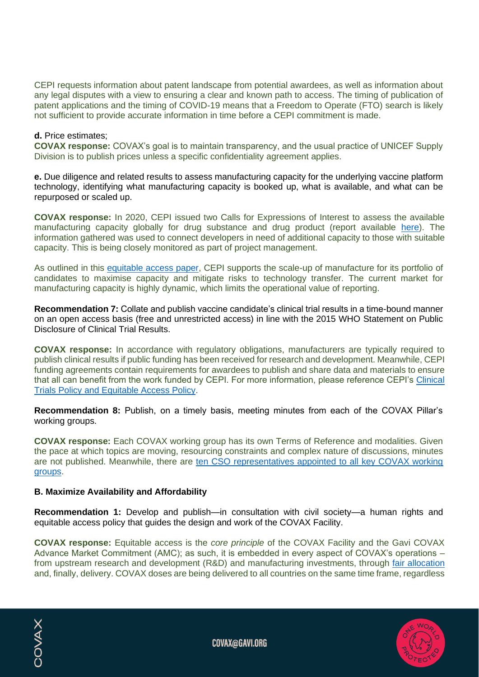CEPI requests information about patent landscape from potential awardees, as well as information about any legal disputes with a view to ensuring a clear and known path to access. The timing of publication of patent applications and the timing of COVID-19 means that a Freedom to Operate (FTO) search is likely not sufficient to provide accurate information in time before a CEPI commitment is made.

#### **d.** Price estimates;

**COVAX response:** COVAX's goal is to maintain transparency, and the usual practice of UNICEF Supply Division is to publish prices unless a specific confidentiality agreement applies.

**e.** Due diligence and related results to assess manufacturing capacity for the underlying vaccine platform technology, identifying what manufacturing capacity is booked up, what is available, and what can be repurposed or scaled up.

**COVAX response:** In 2020, CEPI issued two Calls for Expressions of Interest to assess the available manufacturing capacity globally for drug substance and drug product (report available [here\)](https://cepi.net/news_cepi/cepi-survey-assesses-potential-covid-19-vaccine-manufacturing-capacity/). The information gathered was used to connect developers in need of additional capacity to those with suitable capacity. This is being closely monitored as part of project management.

As outlined in this [equitable access paper,](https://cepi.net/wp-content/uploads/2020/12/Enabling-equitable-access-to-COVID19-vaccines-v3-22Feb-2021.pdf) CEPI supports the scale-up of manufacture for its portfolio of candidates to maximise capacity and mitigate risks to technology transfer. The current market for manufacturing capacity is highly dynamic, which limits the operational value of reporting.

**Recommendation 7:** Collate and publish vaccine candidate's clinical trial results in a time-bound manner on an open access basis (free and unrestricted access) in line with the 2015 WHO Statement on Public Disclosure of Clinical Trial Results.

**COVAX response:** In accordance with regulatory obligations, manufacturers are typically required to publish clinical results if public funding has been received for research and development. Meanwhile, CEPI funding agreements contain requirements for awardees to publish and share data and materials to ensure that all can benefit from the work funded by CEPI. For more information, please reference CEPI's Clinical [Trials Policy and Equitable Access Policy.](https://cepi.net/about/governance/?doc_category=136)

**Recommendation 8:** Publish, on a timely basis, meeting minutes from each of the COVAX Pillar's working groups.

**COVAX response:** Each COVAX working group has its own Terms of Reference and modalities. Given the pace at which topics are moving, resourcing constraints and complex nature of discussions, minutes are not published. Meanwhile, there are [ten CSO representatives appointed to all key COVAX working](https://www.gavi.org/news/media-room/covax-welcomes-appointment-civil-society-representatives)  [groups.](https://www.gavi.org/news/media-room/covax-welcomes-appointment-civil-society-representatives)

#### **B. Maximize Availability and Affordability**

**Recommendation 1:** Develop and publish—in consultation with civil society—a human rights and equitable access policy that guides the design and work of the COVAX Facility.

**COVAX response:** Equitable access is the *core principle* of the COVAX Facility and the Gavi COVAX Advance Market Commitment (AMC); as such, it is embedded in every aspect of COVAX's operations – from upstream research and development (R&D) and manufacturing investments, through [fair allocation](https://www.who.int/news-room/feature-stories/detail/access-and-allocation-how-will-there-be-fair-and-equitable-allocation-of-limited-supplies) and, finally, delivery. COVAX doses are being delivered to all countries on the same time frame, regardless



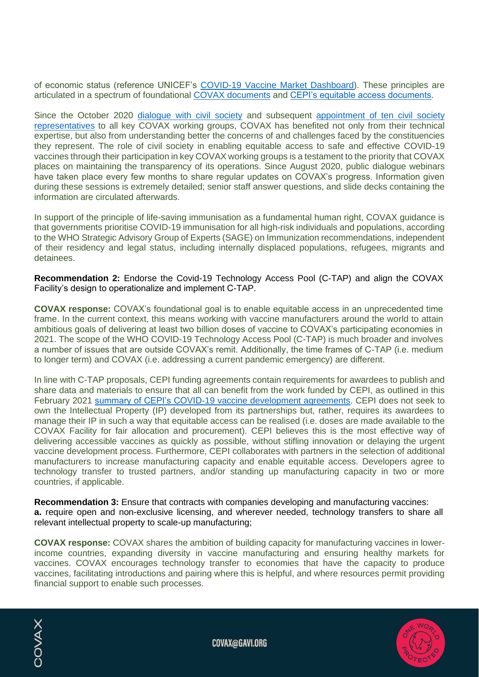of economic status (reference UNICEF's [COVID-19 Vaccine Market Dashboard\)](https://www.unicef.org/supply/covid-19-vaccine-market-dashboard). These principles are articulated in a spectrum of foundational [COVAX documents](https://www.gavi.org/covax-facility#documents) and [CEPI's equitable access documents.](https://cepi.net/about/governance/?doc_category=238)

Since the October 2020 [dialogue with civil society](https://www.gavi.org/sites/default/files/covid/covax/ACT-A-COVAX-for-CSOs-27102020-web.pdf) and subsequent appointment of ten civil society [representatives](https://www.gavi.org/news/media-room/covax-welcomes-appointment-civil-society-representatives) to all key COVAX working groups, COVAX has benefited not only from their technical expertise, but also from understanding better the concerns of and challenges faced by the constituencies they represent. The role of civil society in enabling equitable access to safe and effective COVID-19 vaccines through their participation in key COVAX working groups is a testament to the priority that COVAX places on maintaining the transparency of its operations. Since August 2020, public dialogue webinars have taken place every few months to share regular updates on COVAX's progress. Information given during these sessions is extremely detailed; senior staff answer questions, and slide decks containing the information are circulated afterwards.

In support of the principle of life-saving immunisation as a fundamental human right, COVAX guidance is that governments prioritise COVID-19 immunisation for all high-risk individuals and populations, according to the WHO Strategic Advisory Group of Experts (SAGE) on Immunization recommendations, independent of their residency and legal status, including internally displaced populations, refugees, migrants and detainees.

**Recommendation 2:** Endorse the Covid-19 Technology Access Pool (C-TAP) and align the COVAX Facility's design to operationalize and implement C-TAP.

**COVAX response:** COVAX's foundational goal is to enable equitable access in an unprecedented time frame. In the current context, this means working with vaccine manufacturers around the world to attain ambitious goals of delivering at least two billion doses of vaccine to COVAX's participating economies in 2021. The scope of the [WHO COVID-19 Technology Access Pool \(C-TAP\)](https://www.who.int/initiatives/covid-19-technology-access-pool) is much broader and involves a number of issues that are outside COVAX's remit. Additionally, the time frames of C-TAP (i.e. medium to longer term) and COVAX (i.e. addressing a current pandemic emergency) are different.

In line with C-TAP proposals, CEPI funding agreements contain requirements for awardees to publish and share data and materials to ensure that all can benefit from the work funded by CEPI, as outlined in this February 2021 [summary of CEPI's COVID-19 vaccine development agreements.](https://cepi.net/wp-content/uploads/2020/12/Enabling-equitable-access-to-COVID19-vaccines-v3-22Feb-2021.pdf) CEPI does not seek to own the Intellectual Property (IP) developed from its partnerships but, rather, requires its awardees to manage their IP in such a way that equitable access can be realised (i.e. doses are made available to the COVAX Facility for fair allocation and procurement). CEPI believes this is the most effective way of delivering accessible vaccines as quickly as possible, without stifling innovation or delaying the urgent vaccine development process. Furthermore, CEPI collaborates with partners in the selection of additional manufacturers to increase manufacturing capacity and enable equitable access. Developers agree to technology transfer to trusted partners, and/or standing up manufacturing capacity in two or more countries, if applicable.

**Recommendation 3:** Ensure that contracts with companies developing and manufacturing vaccines: **a.** require open and non-exclusive licensing, and wherever needed, technology transfers to share all relevant intellectual property to scale-up manufacturing;

**COVAX response:** COVAX shares the ambition of building capacity for manufacturing vaccines in lowerincome countries, expanding diversity in vaccine manufacturing and ensuring healthy markets for vaccines. COVAX encourages technology transfer to economies that have the capacity to produce vaccines, facilitating introductions and pairing where this is helpful, and where resources permit providing financial support to enable such processes.





**COVAX@GAVI.ORG**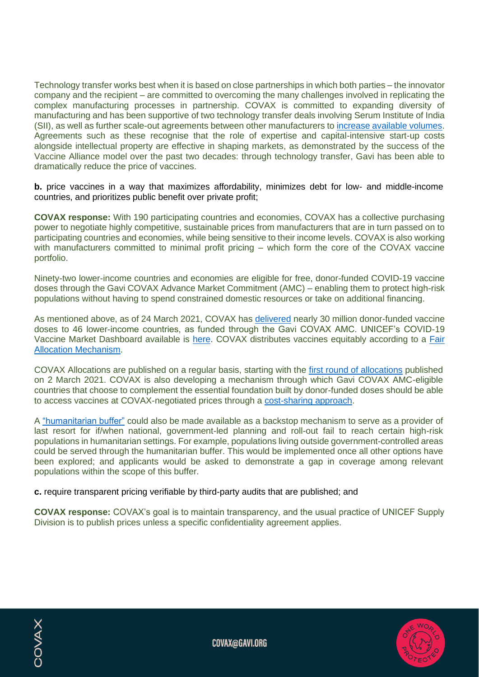Technology transfer works best when it is based on close partnerships in which both parties – the innovator company and the recipient – are committed to overcoming the many challenges involved in replicating the complex manufacturing processes in partnership. COVAX is committed to expanding diversity of manufacturing and has been supportive of two technology transfer deals involving Serum Institute of India (SII), as well as further scale-out agreements between other manufacturers to [increase available volumes.](https://cepi.net/wp-content/uploads/2020/12/Enabling-equitable-access-to-COVID19-vaccines-v3-22Feb-2021.pdf) Agreements such as these recognise that the role of expertise and capital-intensive start-up costs alongside intellectual property are effective in shaping markets, as demonstrated by the success of the Vaccine Alliance model over the past two decades: through technology transfer, Gavi has been able to dramatically reduce the price of vaccines.

**b.** price vaccines in a way that maximizes affordability, minimizes debt for low- and middle-income countries, and prioritizes public benefit over private profit;

**COVAX response:** With 190 participating countries and economies, COVAX has a collective purchasing power to negotiate highly competitive, sustainable prices from manufacturers that are in turn passed on to participating countries and economies, while being sensitive to their income levels. COVAX is also working with manufacturers committed to minimal profit pricing – which form the core of the COVAX vaccine portfolio.

Ninety-two lower-income countries and economies are eligible for free, donor-funded COVID-19 vaccine doses through the Gavi COVAX Advance Market Commitment (AMC) – enabling them to protect high-risk populations without having to spend constrained domestic resources or take on additional financing.

As mentioned above, as of 24 March 2021, COVAX has [delivered](https://www.gavi.org/live/covax-vaccine-roll-out) nearly 30 million donor-funded vaccine doses to 46 lower-income countries, as funded through the Gavi COVAX AMC. UNICEF's COVID-19 Vaccine Market Dashboard available is [here.](https://www.unicef.org/supply/covid-19-vaccine-market-dashboard) COVAX distributes vaccines equitably according to a [Fair](https://www.who.int/news-room/feature-stories/detail/access-and-allocation-how-will-there-be-fair-and-equitable-allocation-of-limited-supplies)  [Allocation Mechanism.](https://www.who.int/news-room/feature-stories/detail/access-and-allocation-how-will-there-be-fair-and-equitable-allocation-of-limited-supplies)

COVAX Allocations are published on a regular basis, starting with the [first round of allocations](https://www.gavi.org/news/media-room/covax-publishes-first-round-allocations) published on 2 March 2021. COVAX is also developing a mechanism through which Gavi COVAX AMC-eligible countries that choose to complement the essential foundation built by donor-funded doses should be able to access vaccines at COVAX-negotiated prices through a [cost-sharing approach.](https://www.gavi.org/sites/default/files/covid/covax/Briefing_Note_COVAX_AMC_Cost-Sharing.pdf)

A ["humanitarian buffer"](https://www.gavi.org/news/media-room/gavi-board-approves-covax-buffer-high-risk-groups-humanitarian-settings) could also be made available as a backstop mechanism to serve as a provider of last resort for if/when national, government-led planning and roll-out fail to reach certain high-risk populations in humanitarian settings. For example, populations living outside government-controlled areas could be served through the humanitarian buffer. This would be implemented once all other options have been explored; and applicants would be asked to demonstrate a gap in coverage among relevant populations within the scope of this buffer.

**c.** require transparent pricing verifiable by third-party audits that are published; and

**COVAX response:** COVAX's goal is to maintain transparency, and the usual practice of UNICEF Supply Division is to publish prices unless a specific confidentiality agreement applies.

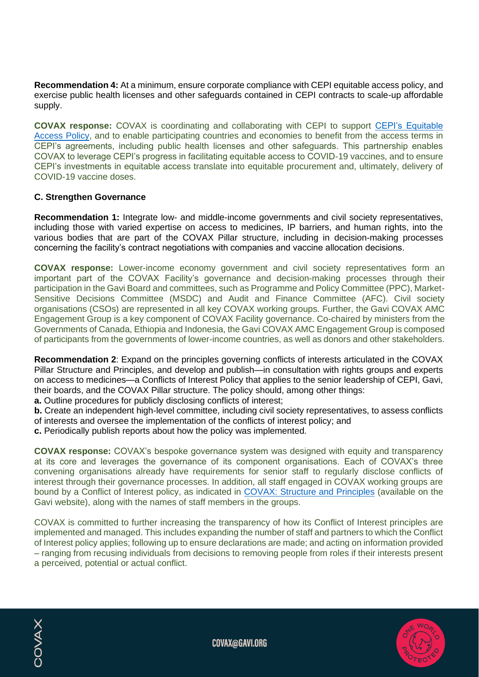**Recommendation 4:** At a minimum, ensure corporate compliance with CEPI equitable access policy, and exercise public health licenses and other safeguards contained in CEPI contracts to scale-up affordable supply.

**COVAX response:** COVAX is coordinating and collaborating with CEPI to support [CEPI's Equitable](https://cepi.net/wp-content/uploads/2019/01/Equitable-Access-Policy.pdf)  [Access Policy,](https://cepi.net/wp-content/uploads/2019/01/Equitable-Access-Policy.pdf) and to enable participating countries and economies to benefit from the access terms in CEPI's agreements, including public health licenses and other safeguards. This partnership enables COVAX to leverage CEPI's progress in facilitating equitable access to COVID-19 vaccines, and to ensure CEPI's investments in equitable access translate into equitable procurement and, ultimately, delivery of COVID-19 vaccine doses.

#### **C. Strengthen Governance**

**Recommendation 1:** Integrate low- and middle-income governments and civil society representatives, including those with varied expertise on access to medicines, IP barriers, and human rights, into the various bodies that are part of the COVAX Pillar structure, including in decision-making processes concerning the facility's contract negotiations with companies and vaccine allocation decisions.

**COVAX response:** Lower-income economy government and civil society representatives form an important part of the COVAX Facility's governance and decision-making processes through their participation in the Gavi Board and committees, such as Programme and Policy Committee (PPC), Market-Sensitive Decisions Committee (MSDC) and Audit and Finance Committee (AFC). Civil society organisations (CSOs) are represented in all key COVAX working groups. Further, the Gavi COVAX AMC Engagement Group is a key component of COVAX Facility governance. Co-chaired by ministers from the Governments of Canada, Ethiopia and Indonesia, the Gavi COVAX AMC Engagement Group is composed of participants from the governments of lower-income countries, as well as donors and other stakeholders.

**Recommendation 2**: Expand on the principles governing conflicts of interests articulated in the COVAX Pillar Structure and Principles, and develop and publish—in consultation with rights groups and experts on access to medicines—a Conflicts of Interest Policy that applies to the senior leadership of CEPI, Gavi, their boards, and the COVAX Pillar structure. The policy should, among other things:

**a.** Outline procedures for publicly disclosing conflicts of interest;

**b.** Create an independent high-level committee, including civil society representatives, to assess conflicts of interests and oversee the implementation of the conflicts of interest policy; and

**c.** Periodically publish reports about how the policy was implemented.

**COVAX response:** COVAX's bespoke governance system was designed with equity and transparency at its core and leverages the governance of its component organisations. Each of COVAX's three convening organisations already have requirements for senior staff to regularly disclose conflicts of interest through their governance processes. In addition, all staff engaged in COVAX working groups are bound by a Conflict of Interest policy, as indicated in [COVAX: Structure and Principles](https://www.gavi.org/sites/default/files/covid/covax/COVAX_the-Vaccines-Pillar-of-the-Access-to-COVID-19-Tools-ACT-Accelerator.pdf) (available on the Gavi website), along with the names of staff members in the groups.

COVAX is committed to further increasing the transparency of how its Conflict of Interest principles are implemented and managed. This includes expanding the number of staff and partners to which the Conflict of Interest policy applies; following up to ensure declarations are made; and acting on information provided – ranging from recusing individuals from decisions to removing people from roles if their interests present a perceived, potential or actual conflict.

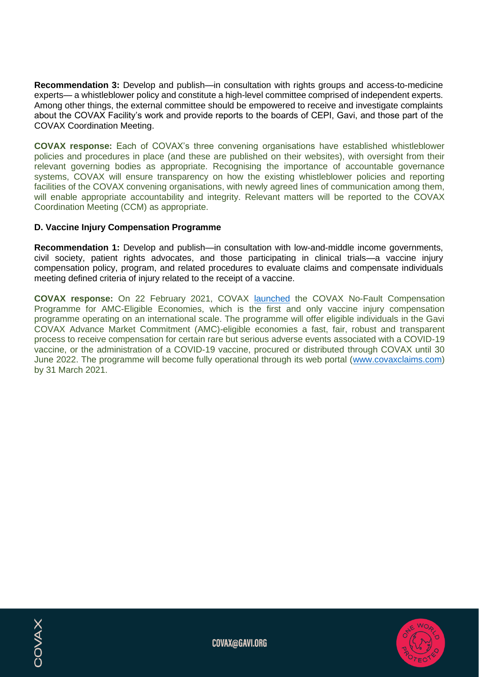**Recommendation 3:** Develop and publish—in consultation with rights groups and access-to-medicine experts— a whistleblower policy and constitute a high-level committee comprised of independent experts. Among other things, the external committee should be empowered to receive and investigate complaints about the COVAX Facility's work and provide reports to the boards of CEPI, Gavi, and those part of the COVAX Coordination Meeting.

**COVAX response:** Each of COVAX's three convening organisations have established whistleblower policies and procedures in place (and these are published on their websites), with oversight from their relevant governing bodies as appropriate. Recognising the importance of accountable governance systems, COVAX will ensure transparency on how the existing whistleblower policies and reporting facilities of the COVAX convening organisations, with newly agreed lines of communication among them, will enable appropriate accountability and integrity. Relevant matters will be reported to the COVAX Coordination Meeting (CCM) as appropriate.

# **D. Vaccine Injury Compensation Programme**

**COVAX** 

**Recommendation 1:** Develop and publish—in consultation with low-and-middle income governments, civil society, patient rights advocates, and those participating in clinical trials—a vaccine injury compensation policy, program, and related procedures to evaluate claims and compensate individuals meeting defined criteria of injury related to the receipt of a vaccine.

**COVAX response:** On 22 February 2021, COVAX [launched](https://www.gavi.org/news/media-room/no-fault-compensation-programme-covid-19-vaccines-world-first) the COVAX No-Fault Compensation Programme for AMC-Eligible Economies, which is the first and only vaccine injury compensation programme operating on an international scale. The programme will offer eligible individuals in the Gavi COVAX Advance Market Commitment (AMC)-eligible economies a fast, fair, robust and transparent process to receive compensation for certain rare but serious adverse events associated with a COVID-19 vaccine, or the administration of a COVID-19 vaccine, procured or distributed through COVAX until 30 June 2022. The programme will become fully operational through its web portal [\(www.covaxclaims.com\)](http://www.covaxclaims.com/) by 31 March 2021.

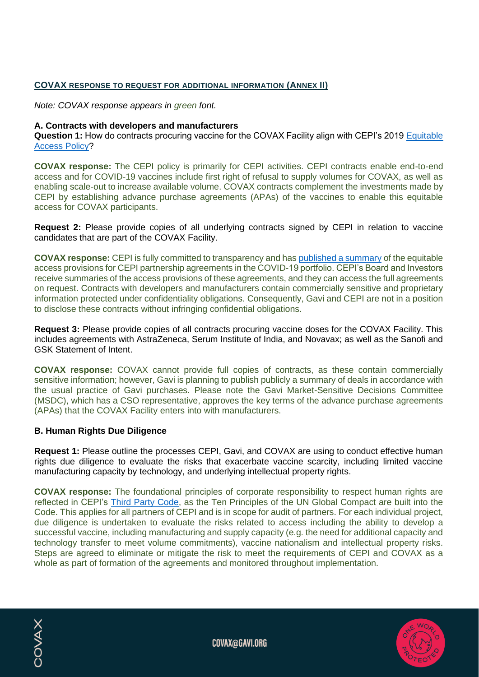# **COVAX RESPONSE TO REQUEST FOR ADDITIONAL INFORMATION (ANNEX II)**

*Note: COVAX response appears in green font.*

#### **A. Contracts with developers and manufacturers**

**Question 1:** How do contracts procuring vaccine for the COVAX Facility align with CEPI's 2019 [Equitable](https://cepi.net/wp-content/uploads/2019/01/Equitable-Access-Policy.pdf)  [Access Policy?](https://cepi.net/wp-content/uploads/2019/01/Equitable-Access-Policy.pdf)

**COVAX response:** The CEPI policy is primarily for CEPI activities. CEPI contracts enable end-to-end access and for COVID-19 vaccines include first right of refusal to supply volumes for COVAX, as well as enabling scale-out to increase available volume. COVAX contracts complement the investments made by CEPI by establishing advance purchase agreements (APAs) of the vaccines to enable this equitable access for COVAX participants.

**Request 2:** Please provide copies of all underlying contracts signed by CEPI in relation to vaccine candidates that are part of the COVAX Facility.

**COVAX response:** CEPI is fully committed to transparency and has [published a summary](https://cepi.net/wp-content/uploads/2020/12/Enabling-equitable-access-to-COVID19-vaccines-v3-22Feb-2021.pdf) of the equitable access provisions for CEPI partnership agreements in the COVID-19 portfolio. CEPI's Board and Investors receive summaries of the access provisions of these agreements, and they can access the full agreements on request. Contracts with developers and manufacturers contain commercially sensitive and proprietary information protected under confidentiality obligations. Consequently, Gavi and CEPI are not in a position to disclose these contracts without infringing confidential obligations.

**Request 3:** Please provide copies of all contracts procuring vaccine doses for the COVAX Facility. This includes agreements with AstraZeneca, Serum Institute of India, and Novavax; as well as the Sanofi and GSK Statement of Intent.

**COVAX response:** COVAX cannot provide full copies of contracts, as these contain commercially sensitive information; however, Gavi is planning to publish publicly a summary of deals in accordance with the usual practice of Gavi purchases. Please note the Gavi Market-Sensitive Decisions Committee (MSDC), which has a CSO representative, approves the key terms of the advance purchase agreements (APAs) that the COVAX Facility enters into with manufacturers.

#### **B. Human Rights Due Diligence**

**Request 1:** Please outline the processes CEPI, Gavi, and COVAX are using to conduct effective human rights due diligence to evaluate the risks that exacerbate vaccine scarcity, including limited vaccine manufacturing capacity by technology, and underlying intellectual property rights.

**COVAX response:** The foundational principles of corporate responsibility to respect human rights are reflected in CEPI's [Third Party Code,](https://cepi.net/wp-content/uploads/2019/10/CEPI-Third-Party-Code.pdf) as the Ten Principles of the UN Global Compact are built into the Code. This applies for all partners of CEPI and is in scope for audit of partners. For each individual project, due diligence is undertaken to evaluate the risks related to access including the ability to develop a successful vaccine, including manufacturing and supply capacity (e.g. the need for additional capacity and technology transfer to meet volume commitments), vaccine nationalism and intellectual property risks. Steps are agreed to eliminate or mitigate the risk to meet the requirements of CEPI and COVAX as a whole as part of formation of the agreements and monitored throughout implementation.



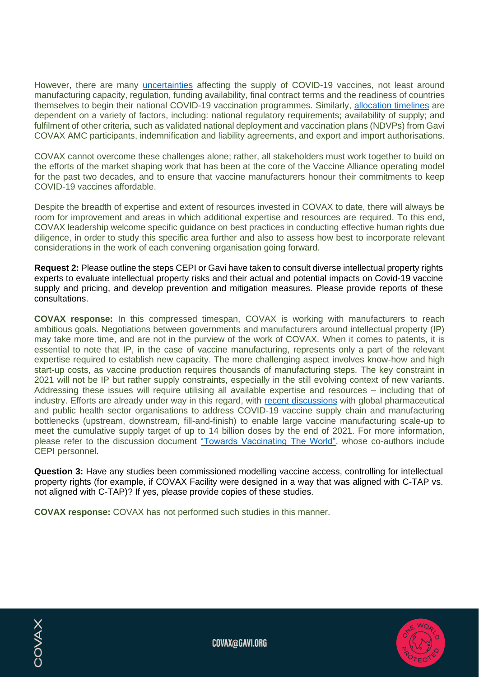However, there are many [uncertainties](https://www.gavi.org/sites/default/files/covid/covax/COVAX%20Supply%20Forecast.pdf) affecting the supply of COVID-19 vaccines, not least around manufacturing capacity, regulation, funding availability, final contract terms and the readiness of countries themselves to begin their national COVID-19 vaccination programmes. Similarly, [allocation timelines](https://www.gavi.org/news/media-room/covax-publishes-first-round-allocations) are dependent on a variety of factors, including: national regulatory requirements; availability of supply; and fulfilment of other criteria, such as validated national deployment and vaccination plans (NDVPs) from Gavi COVAX AMC participants, indemnification and liability agreements, and export and import authorisations.

COVAX cannot overcome these challenges alone; rather, all stakeholders must work together to build on the efforts of the market shaping work that has been at the core of the Vaccine Alliance operating model for the past two decades, and to ensure that vaccine manufacturers honour their commitments to keep COVID-19 vaccines affordable.

Despite the breadth of expertise and extent of resources invested in COVAX to date, there will always be room for improvement and areas in which additional expertise and resources are required. To this end, COVAX leadership welcome specific guidance on best practices in conducting effective human rights due diligence, in order to study this specific area further and also to assess how best to incorporate relevant considerations in the work of each convening organisation going forward.

**Request 2:** Please outline the steps CEPI or Gavi have taken to consult diverse intellectual property rights experts to evaluate intellectual property risks and their actual and potential impacts on Covid-19 vaccine supply and pricing, and develop prevention and mitigation measures. Please provide reports of these consultations.

**COVAX response:** In this compressed timespan, COVAX is working with manufacturers to reach ambitious goals. Negotiations between governments and manufacturers around intellectual property (IP) may take more time, and are not in the purview of the work of COVAX. When it comes to patents, it is essential to note that IP, in the case of vaccine manufacturing, represents only a part of the relevant expertise required to establish new capacity. The more challenging aspect involves know-how and high start-up costs, as vaccine production requires thousands of manufacturing steps. The key constraint in 2021 will not be IP but rather supply constraints, especially in the still evolving context of new variants. Addressing these issues will require utilising all available expertise and resources – including that of industry. Efforts are already under way in this regard, with [recent discussions](https://cepi.net/news_cepi/meeting-discusses-covid-19-vaccine-manufacturing-bottlenecks-that-must-be-urgently-tackled-for-covid-19-vaccine-output-to-reach-its-full-potential/) with global pharmaceutical and public health sector organisations to address COVID-19 vaccine supply chain and manufacturing bottlenecks (upstream, downstream, fill-and-finish) to enable large vaccine manufacturing scale-up to meet the cumulative supply target of up to 14 billion doses by the end of 2021. For more information, please refer to the discussion document ["Towards Vaccinating The World",](https://www.ifpma.org/wp-content/uploads/2021/03/Summit_Landscape_Discussion_Document.pdf) whose co-authors include CEPI personnel.

**Question 3:** Have any studies been commissioned modelling vaccine access, controlling for intellectual property rights (for example, if COVAX Facility were designed in a way that was aligned with C-TAP vs. not aligned with C-TAP)? If yes, please provide copies of these studies.

**COVAX response:** COVAX has not performed such studies in this manner.

COVAX

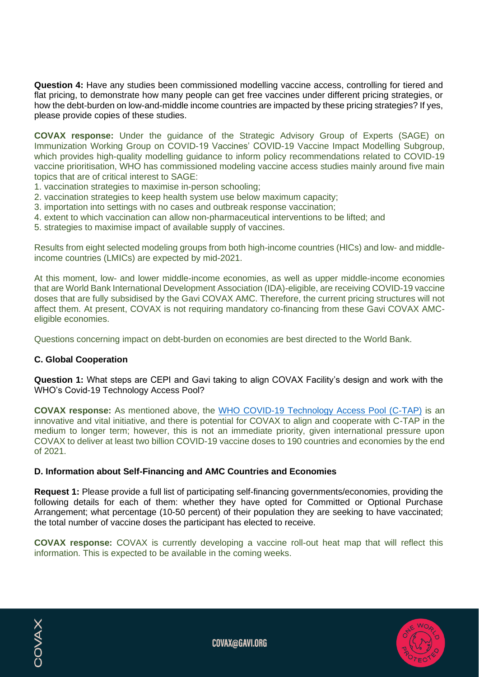**Question 4:** Have any studies been commissioned modelling vaccine access, controlling for tiered and flat pricing, to demonstrate how many people can get free vaccines under different pricing strategies, or how the debt-burden on low-and-middle income countries are impacted by these pricing strategies? If yes, please provide copies of these studies.

**COVAX response:** Under the guidance of the Strategic Advisory Group of Experts (SAGE) on Immunization Working Group on COVID-19 Vaccines' COVID-19 Vaccine Impact Modelling Subgroup, which provides high-quality modelling guidance to inform policy recommendations related to COVID-19 vaccine prioritisation, WHO has commissioned modeling vaccine access studies mainly around five main topics that are of critical interest to SAGE:

- 1. vaccination strategies to maximise in-person schooling;
- 2. vaccination strategies to keep health system use below maximum capacity;
- 3. importation into settings with no cases and outbreak response vaccination;
- 4. extent to which vaccination can allow non-pharmaceutical interventions to be lifted; and
- 5. strategies to maximise impact of available supply of vaccines.

Results from eight selected modeling groups from both high-income countries (HICs) and low- and middleincome countries (LMICs) are expected by mid-2021.

At this moment, low- and lower middle-income economies, as well as upper middle-income economies that are World Bank International Development Association (IDA)-eligible, are receiving COVID-19 vaccine doses that are fully subsidised by the Gavi COVAX AMC. Therefore, the current pricing structures will not affect them. At present, COVAX is not requiring mandatory co-financing from these Gavi COVAX AMCeligible economies.

Questions concerning impact on debt-burden on economies are best directed to the World Bank.

# **C. Global Cooperation**

**Question 1:** What steps are CEPI and Gavi taking to align COVAX Facility's design and work with the WHO's Covid-19 Technology Access Pool?

**COVAX response:** As mentioned above, the [WHO COVID-19 Technology Access Pool \(C-TAP\)](https://www.who.int/initiatives/covid-19-technology-access-pool) is an innovative and vital initiative, and there is potential for COVAX to align and cooperate with C-TAP in the medium to longer term; however, this is not an immediate priority, given international pressure upon COVAX to deliver at least two billion COVID-19 vaccine doses to 190 countries and economies by the end of 2021.

#### **D. Information about Self-Financing and AMC Countries and Economies**

**Request 1:** Please provide a full list of participating self-financing governments/economies, providing the following details for each of them: whether they have opted for Committed or Optional Purchase Arrangement; what percentage (10-50 percent) of their population they are seeking to have vaccinated; the total number of vaccine doses the participant has elected to receive.

**COVAX response:** COVAX is currently developing a vaccine roll-out heat map that will reflect this information. This is expected to be available in the coming weeks.